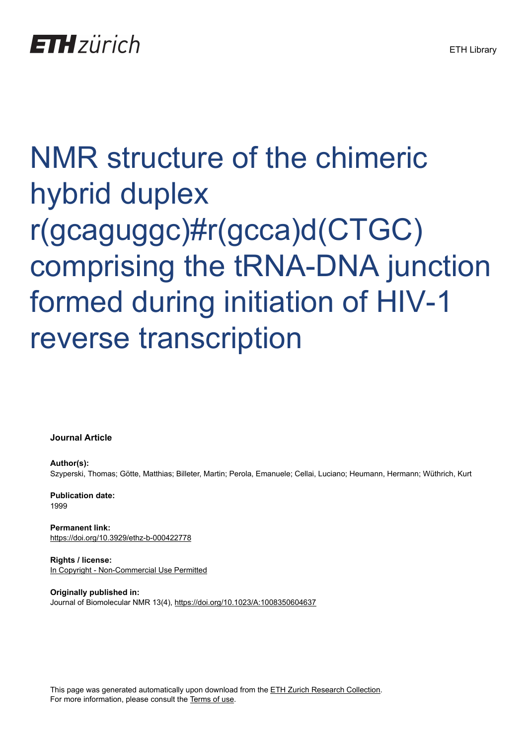# NMR structure of the chimeric hybrid duplex r(gcaguggc)#r(gcca)d(CTGC) comprising the tRNA-DNA junction formed during initiation of HIV-1 reverse transcription

**Journal Article**

**Author(s):** Szyperski, Thomas; Götte, Matthias; Billeter, Martin; Perola, Emanuele; Cellai, Luciano; Heumann, Hermann; Wüthrich, Kurt

**Publication date:** 1999

**Permanent link:** <https://doi.org/10.3929/ethz-b-000422778>

**Rights / license:** [In Copyright - Non-Commercial Use Permitted](http://rightsstatements.org/page/InC-NC/1.0/)

**Originally published in:** Journal of Biomolecular NMR 13(4),<https://doi.org/10.1023/A:1008350604637>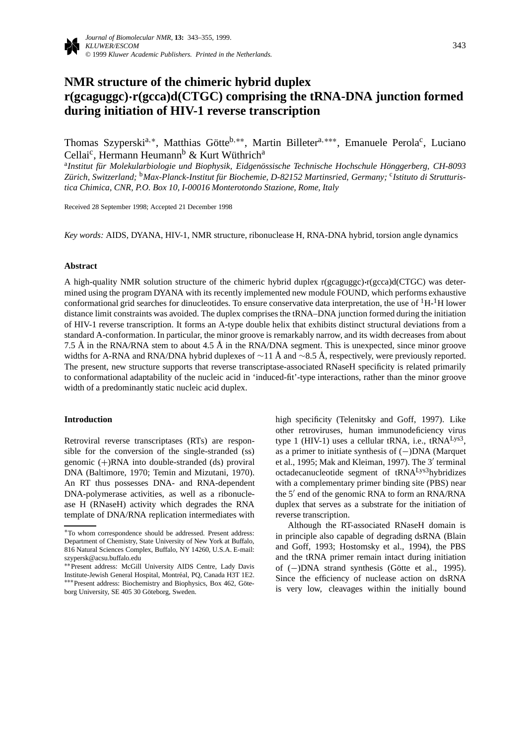# **NMR structure of the chimeric hybrid duplex r(gcaguggc)·r(gcca)d(CTGC) comprising the tRNA-DNA junction formed during initiation of HIV-1 reverse transcription**

Thomas Szyperski<sup>a,∗</sup>, Matthias Götte<sup>b,</sup>∗∗, Martin Billeter<sup>a,</sup>∗∗∗, Emanuele Perola<sup>c</sup>, Luciano Cellai<sup>c</sup>, Hermann Heumann<sup>b</sup> & Kurt Wüthrich<sup>a</sup>

<sup>a</sup>*Institut für Molekularbiologie und Biophysik, Eidgenössische Technische Hochschule Hönggerberg, CH-8093 Zürich, Switzerland;* <sup>b</sup>*Max-Planck-Institut für Biochemie, D-82152 Martinsried, Germany;* <sup>c</sup>*Istituto di Strutturistica Chimica, CNR, P.O. Box 10, I-00016 Monterotondo Stazione, Rome, Italy*

Received 28 September 1998; Accepted 21 December 1998

*Key words:* AIDS, DYANA, HIV-1, NMR structure, ribonuclease H, RNA-DNA hybrid, torsion angle dynamics

#### **Abstract**

A high-quality NMR solution structure of the chimeric hybrid duplex r(gcaguggc)**·**r(gcca)d(CTGC) was determined using the program DYANA with its recently implemented new module FOUND, which performs exhaustive conformational grid searches for dinucleotides. To ensure conservative data interpretation, the use of  ${}^{1}H-{}^{1}H$  lower distance limit constraints was avoided. The duplex comprises the tRNA–DNA junction formed during the initiation of HIV-1 reverse transcription. It forms an A-type double helix that exhibits distinct structural deviations from a standard A-conformation. In particular, the minor groove is remarkably narrow, and its width decreases from about 7.5 Å in the RNA/RNA stem to about 4.5 Å in the RNA/DNA segment. This is unexpected, since minor groove widths for A-RNA and RNA/DNA hybrid duplexes of ∼11 Å and ∼8.5 Å, respectively, were previously reported. The present, new structure supports that reverse transcriptase-associated RNaseH specificity is related primarily to conformational adaptability of the nucleic acid in 'induced-fit'-type interactions, rather than the minor groove width of a predominantly static nucleic acid duplex.

#### **Introduction**

Retroviral reverse transcriptases (RTs) are responsible for the conversion of the single-stranded (ss) genomic (+)RNA into double-stranded (ds) proviral DNA (Baltimore, 1970; Temin and Mizutani, 1970). An RT thus possesses DNA- and RNA-dependent DNA-polymerase activities, as well as a ribonuclease H (RNaseH) activity which degrades the RNA template of DNA/RNA replication intermediates with

high specificity (Telenitsky and Goff, 1997). Like other retroviruses, human immunodeficiency virus type 1 (HIV-1) uses a cellular tRNA, i.e., tRNA<sup>Lys3</sup>, as a primer to initiate synthesis of (−)DNA (Marquet et al., 1995; Mak and Kleiman, 1997). The  $3'$  terminal octadecanucleotide segment of tRNALys3hybridizes with a complementary primer binding site (PBS) near the  $5'$  end of the genomic RNA to form an RNA/RNA duplex that serves as a substrate for the initiation of reverse transcription.

Although the RT-associated RNaseH domain is in principle also capable of degrading dsRNA (Blain and Goff, 1993; Hostomsky et al., 1994), the PBS and the tRNA primer remain intact during initiation of (−)DNA strand synthesis (Götte et al., 1995). Since the efficiency of nuclease action on dsRNA is very low, cleavages within the initially bound

<sup>∗</sup>To whom correspondence should be addressed. Present address: Department of Chemistry, State University of New York at Buffalo, 816 Natural Sciences Complex, Buffalo, NY 14260, U.S.A. E-mail: szypersk@acsu.buffalo.edu

<sup>∗∗</sup>Present address: McGill University AIDS Centre, Lady Davis Institute-Jewish General Hospital, Montreal, PQ, Canada H3T 1E2. ´ ∗∗∗Present address: Biochemistry and Biophysics, Box 462, Göteborg University, SE 405 30 Göteborg, Sweden.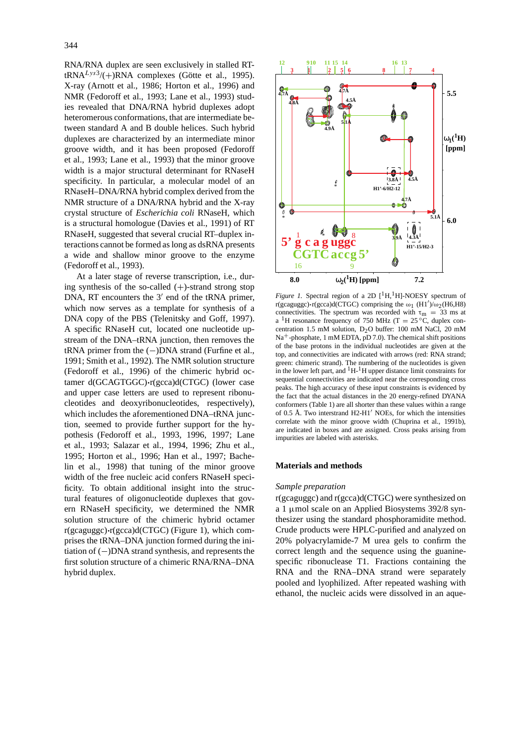RNA/RNA duplex are seen exclusively in stalled RT $tRNA<sup>Lys3</sup>/(+)RNA$  complexes (Götte et al., 1995). X-ray (Arnott et al., 1986; Horton et al., 1996) and NMR (Fedoroff et al., 1993; Lane et al., 1993) studies revealed that DNA/RNA hybrid duplexes adopt heteromerous conformations, that are intermediate between standard A and B double helices. Such hybrid duplexes are characterized by an intermediate minor groove width, and it has been proposed (Fedoroff et al., 1993; Lane et al., 1993) that the minor groove width is a major structural determinant for RNaseH specificity. In particular, a molecular model of an RNaseH–DNA/RNA hybrid complex derived from the NMR structure of a DNA/RNA hybrid and the X-ray crystal structure of *Escherichia coli* RNaseH, which is a structural homologue (Davies et al., 1991) of RT RNaseH, suggested that several crucial RT–duplex interactions cannot be formed as long as dsRNA presents a wide and shallow minor groove to the enzyme (Fedoroff et al., 1993).

At a later stage of reverse transcription, i.e., during synthesis of the so-called  $(+)$ -strand strong stop DNA, RT encounters the  $3'$  end of the tRNA primer, which now serves as a template for synthesis of a DNA copy of the PBS (Telenitsky and Goff, 1997). A specific RNaseH cut, located one nucleotide upstream of the DNA–tRNA junction, then removes the tRNA primer from the  $(-)$ DNA strand (Furfine et al., 1991; Smith et al., 1992). The NMR solution structure (Fedoroff et al., 1996) of the chimeric hybrid octamer d(GCAGTGGC)**·**r(gcca)d(CTGC) (lower case and upper case letters are used to represent ribonucleotides and deoxyribonucleotides, respectively), which includes the aforementioned DNA–tRNA junction, seemed to provide further support for the hypothesis (Fedoroff et al., 1993, 1996, 1997; Lane et al., 1993; Salazar et al., 1994, 1996; Zhu et al., 1995; Horton et al., 1996; Han et al., 1997; Bachelin et al., 1998) that tuning of the minor groove width of the free nucleic acid confers RNaseH specificity. To obtain additional insight into the structural features of oligonucleotide duplexes that govern RNaseH specificity, we determined the NMR solution structure of the chimeric hybrid octamer r(gcaguggc)**·**r(gcca)d(CTGC) (Figure 1), which comprises the tRNA–DNA junction formed during the initiation of (−)DNA strand synthesis, and represents the first solution structure of a chimeric RNA/RNA–DNA hybrid duplex.



*Figure 1.* Spectral region of a 2D  $[$ <sup>1</sup>H,<sup>1</sup>H]-NOESY spectrum of r(gcaguggc) $\cdot$ r(gcca)d(CTGC) comprising the  $\omega_1$  (H1')/ $\omega_2$ (H6,H8) connectivities. The spectrum was recorded with  $\tau_{\rm m} = 33$  ms at a <sup>1</sup>H resonance frequency of 750 MHz (T = 25 °C, duplex concentration 1.5 mM solution, D2O buffer: 100 mM NaCl, 20 mM  $Na<sup>+</sup>$ -phosphate, 1 mM EDTA, pD 7.0). The chemical shift positions of the base protons in the individual nucleotides are given at the top, and connectivities are indicated with arrows (red: RNA strand; green: chimeric strand). The numbering of the nucleotides is given in the lower left part, and  ${}^{1}H-{}^{1}H$  upper distance limit constraints for sequential connectivities are indicated near the corresponding cross peaks. The high accuracy of these input constraints is evidenced by the fact that the actual distances in the 20 energy-refined DYANA conformers (Table 1) are all shorter than these values within a range of 0.5 Å. Two interstrand  $H2-H1'$  NOEs, for which the intensities correlate with the minor groove width (Chuprina et al., 1991b), are indicated in boxes and are assigned. Cross peaks arising from impurities are labeled with asterisks.

#### **Materials and methods**

#### *Sample preparation*

r(gcaguggc) and r(gcca)d(CTGC) were synthesized on a 1 µmol scale on an Applied Biosystems 392/8 synthesizer using the standard phosphoramidite method. Crude products were HPLC-purified and analyzed on 20% polyacrylamide-7 M urea gels to confirm the correct length and the sequence using the guaninespecific ribonuclease T1. Fractions containing the RNA and the RNA–DNA strand were separately pooled and lyophilized. After repeated washing with ethanol, the nucleic acids were dissolved in an aque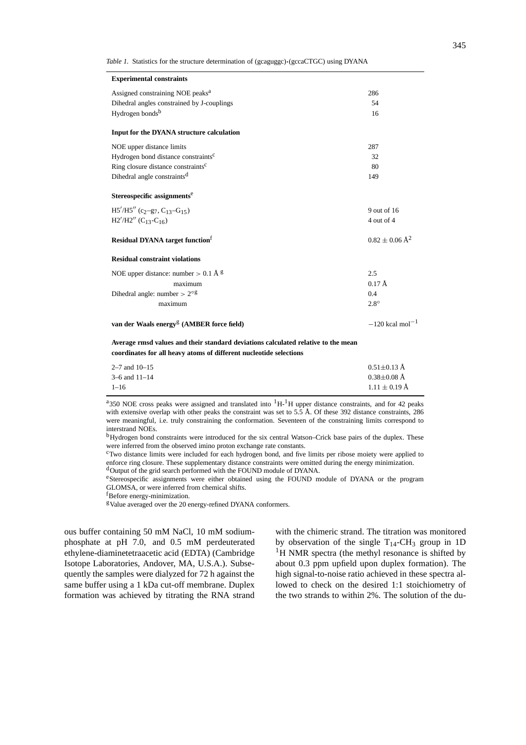*Table 1.* Statistics for the structure determination of (gcaguggc)**·**(gccaCTGC) using DYANA

| <b>Experimental constraints</b>                                                                                                                         |                               |
|---------------------------------------------------------------------------------------------------------------------------------------------------------|-------------------------------|
| Assigned constraining NOE peaks <sup>a</sup>                                                                                                            | 286                           |
| Dihedral angles constrained by J-couplings                                                                                                              | 54                            |
| Hydrogen bonds <sup>b</sup>                                                                                                                             | 16                            |
| Input for the DYANA structure calculation                                                                                                               |                               |
| NOE upper distance limits                                                                                                                               | 287                           |
| Hydrogen bond distance constraints <sup>c</sup>                                                                                                         | 32                            |
| Ring closure distance constraints <sup>c</sup>                                                                                                          | 80                            |
| Dihedral angle constraints <sup>d</sup>                                                                                                                 | 149                           |
| Stereospecific assignments <sup>e</sup>                                                                                                                 |                               |
| $H5'/H5''$ (c <sub>2</sub> -g <sub>7</sub> , C <sub>13</sub> -G <sub>15</sub> )                                                                         | 9 out of 16                   |
| $H2'/H2''$ (C <sub>13</sub> -C <sub>16</sub> )                                                                                                          | 4 out of 4                    |
| <b>Residual DYANA</b> target function <sup>f</sup>                                                                                                      | $0.82 \pm 0.06 \text{ Å}^2$   |
| <b>Residual constraint violations</b>                                                                                                                   |                               |
| NOE upper distance: number $> 0.1 \text{ Å}$ g                                                                                                          | 2.5                           |
| maximum                                                                                                                                                 | $0.17 \text{ Å}$              |
| Dihedral angle: number $> 2^{\circ}$ g                                                                                                                  | 0.4                           |
| maximum                                                                                                                                                 | $2.8^\circ$                   |
| van der Waals energy <sup>g</sup> (AMBER force field)                                                                                                   | $-120$ kcal mol <sup>-1</sup> |
| Average rmsd values and their standard deviations calculated relative to the mean<br>coordinates for all heavy atoms of different nucleotide selections |                               |
| $2 - 7$ and $10 - 15$                                                                                                                                   | $0.51 \pm 0.13$ Å             |

| $2 - i$ and $10 - 15$ | $0.31 \pm 0.13$ A |
|-----------------------|-------------------|
| $3-6$ and $11-14$     | $0.38 \pm 0.08$ Å |
| $1 - 16$              | $1.11 \pm 0.19$ Å |
|                       |                   |

<sup>a</sup>350 NOE cross peaks were assigned and translated into  ${}^{1}H$ -<sup>1</sup>H upper distance constraints, and for 42 peaks with extensive overlap with other peaks the constraint was set to 5.5 Å. Of these 392 distance constraints, 286 were meaningful, i.e. truly constraining the conformation. Seventeen of the constraining limits correspond to interstrand NOEs.

bHydrogen bond constraints were introduced for the six central Watson–Crick base pairs of the duplex. These were inferred from the observed imino proton exchange rate constants.

cTwo distance limits were included for each hydrogen bond, and five limits per ribose moiety were applied to enforce ring closure. These supplementary distance constraints were omitted during the energy minimization. dOutput of the grid search performed with the FOUND module of DYANA.

eStereospecific assignments were either obtained using the FOUND module of DYANA or the program GLOMSA, or were inferred from chemical shifts.

f Before energy-minimization.

<sup>g</sup>Value averaged over the 20 energy-refined DYANA conformers.

ous buffer containing 50 mM NaCl, 10 mM sodiumphosphate at pH 7.0, and 0.5 mM perdeuterated ethylene-diaminetetraacetic acid (EDTA) (Cambridge Isotope Laboratories, Andover, MA, U.S.A.). Subsequently the samples were dialyzed for 72 h against the same buffer using a 1 kDa cut-off membrane. Duplex formation was achieved by titrating the RNA strand

with the chimeric strand. The titration was monitored by observation of the single  $T_{14}$ -CH<sub>3</sub> group in 1D <sup>1</sup>H NMR spectra (the methyl resonance is shifted by about 0.3 ppm upfield upon duplex formation). The high signal-to-noise ratio achieved in these spectra allowed to check on the desired 1:1 stoichiometry of the two strands to within 2%. The solution of the du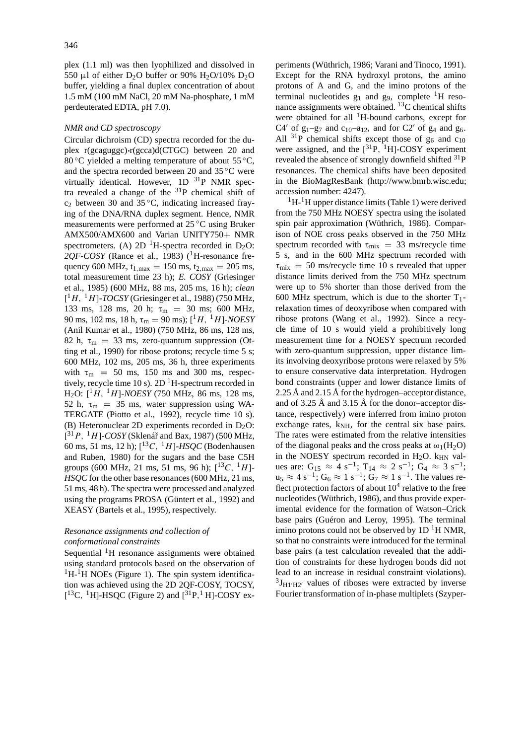plex (1.1 ml) was then lyophilized and dissolved in 550 µl of either D<sub>2</sub>O buffer or 90% H<sub>2</sub>O/10% D<sub>2</sub>O buffer, yielding a final duplex concentration of about 1.5 mM (100 mM NaCl, 20 mM Na-phosphate, 1 mM perdeuterated EDTA, pH 7.0).

#### *NMR and CD spectroscopy*

Circular dichroism (CD) spectra recorded for the duplex r(gcaguggc)**·**r(gcca)d(CTGC) between 20 and 80 °C yielded a melting temperature of about  $55^{\circ}$ C, and the spectra recorded between 20 and 35 ◦C were virtually identical. However, 1D <sup>31</sup>P NMR spectra revealed a change of the 31P chemical shift of  $c_2$  between 30 and 35 °C, indicating increased fraying of the DNA/RNA duplex segment. Hence, NMR measurements were performed at 25 ◦C using Bruker AMX500/AMX600 and Varian UNITY750+ NMR spectrometers. (A) 2D <sup>1</sup>H-spectra recorded in D<sub>2</sub>O:  $2QF-COSY$  (Rance et al., 1983) (<sup>1</sup>H-resonance frequency 600 MHz,  $t_{1,max} = 150$  ms,  $t_{2,max} = 205$  ms, total measurement time 23 h); *E. COSY* (Griesinger et al., 1985) (600 MHz, 88 ms, 205 ms, 16 h); *clean* [ <sup>1</sup>*H,* <sup>1</sup>*H*]-*TOCSY* (Griesinger et al., 1988) (750 MHz, 133 ms, 128 ms, 20 h;  $\tau_{\rm m}$  = 30 ms; 600 MHz, 90 ms, 102 ms, 18 h, τ<sub>m</sub> = 90 ms); [<sup>1</sup>*H*, <sup>1</sup>*H*]-*NOESY* (Anil Kumar et al., 1980) (750 MHz, 86 ms, 128 ms, 82 h,  $\tau_m$  = 33 ms, zero-quantum suppression (Otting et al., 1990) for ribose protons; recycle time 5 s; 600 MHz, 102 ms, 205 ms, 36 h, three experiments with  $\tau_{\rm m}$  = 50 ms, 150 ms and 300 ms, respectively, recycle time 10 s).  $2D<sup>1</sup>H$ -spectrum recorded in H2O: [ <sup>1</sup>*H,* <sup>1</sup>*H*]-*NOESY* (750 MHz, 86 ms, 128 ms, 52 h,  $\tau_{\rm m}$  = 35 ms, water suppression using WA-TERGATE (Piotto et al., 1992), recycle time 10 s). (B) Heteronuclear 2D experiments recorded in  $D_2O$ :  $[$ <sup>31</sup> P, <sup>1</sup>H]-*COSY* (Sklenář and Bax, 1987) (500 MHz, 60 ms, 51 ms, 12 h); [ <sup>13</sup>*C,* <sup>1</sup>*H*]-*HSQC* (Bodenhausen and Ruben, 1980) for the sugars and the base C5H groups (600 MHz, 21 ms, 51 ms, 96 h);  $[^{13}C, ^{1}H]$ -*HSQC* for the other base resonances (600 MHz, 21 ms, 51 ms, 48 h). The spectra were processed and analyzed using the programs PROSA (Güntert et al., 1992) and XEASY (Bartels et al., 1995), respectively.

# *Resonance assignments and collection of conformational constraints*

Sequential  ${}^{1}$ H resonance assignments were obtained using standard protocols based on the observation of  ${}^{1}H$ - ${}^{1}H$  NOEs (Figure 1). The spin system identification was achieved using the 2D 2QF-COSY, TOCSY,  $[{}^{13}C, {}^{1}H]$ -HSQC (Figure 2) and  $[{}^{31}P, {}^{1}H]$ -COSY experiments (Wüthrich, 1986; Varani and Tinoco, 1991). Except for the RNA hydroxyl protons, the amino protons of A and G, and the imino protons of the terminal nucleotides  $g_1$  and  $g_9$ , complete <sup>1</sup>H resonance assignments were obtained.  $^{13}$ C chemical shifts were obtained for all <sup>1</sup>H-bound carbons, except for C4' of  $g_1-g_7$  and  $c_{10}-a_{12}$ , and for C2' of  $g_4$  and  $g_6$ . All  $^{31}P$  chemical shifts except those of  $g_6$  and  $c_{10}$ were assigned, and the  $[^{31}P, {}^{1}H]$ -COSY experiment revealed the absence of strongly downfield shifted <sup>31</sup>P resonances. The chemical shifts have been deposited in the BioMagResBank (http://www.bmrb.wisc.edu; accession number: 4247).

 ${}^{1}H-{}^{1}H$  upper distance limits (Table 1) were derived from the 750 MHz NOESY spectra using the isolated spin pair approximation (Wüthrich, 1986). Comparison of NOE cross peaks observed in the 750 MHz spectrum recorded with  $\tau_{mix}$  = 33 ms/recycle time 5 s, and in the 600 MHz spectrum recorded with  $\tau_{\text{mix}} = 50$  ms/recycle time 10 s revealed that upper distance limits derived from the 750 MHz spectrum were up to 5% shorter than those derived from the 600 MHz spectrum, which is due to the shorter  $T_1$ relaxation times of deoxyribose when compared with ribose protons (Wang et al., 1992). Since a recycle time of 10 s would yield a prohibitively long measurement time for a NOESY spectrum recorded with zero-quantum suppression, upper distance limits involving deoxyribose protons were relaxed by 5% to ensure conservative data interpretation. Hydrogen bond constraints (upper and lower distance limits of 2.25 Å and 2.15 Å for the hydrogen–acceptor distance, and of 3.25 Å and 3.15 Å for the donor–acceptor distance, respectively) were inferred from imino proton exchange rates,  $k_{NH}$ , for the central six base pairs. The rates were estimated from the relative intensities of the diagonal peaks and the cross peaks at  $\omega_1(H_2O)$ in the NOESY spectrum recorded in  $H_2O$ .  $k_{HN}$  values are:  $G_{15} \approx 4 s^{-1}$ ;  $T_{14} \approx 2 s^{-1}$ ;  $G_4 \approx 3 s^{-1}$ ;  $u_5 \approx 4 \text{ s}^{-1}$ ;  $G_6 \approx 1 \text{ s}^{-1}$ ;  $G_7 \approx 1 \text{ s}^{-1}$ . The values reflect protection factors of about  $10<sup>4</sup>$  relative to the free nucleotides (Wüthrich, 1986), and thus provide experimental evidence for the formation of Watson–Crick base pairs (Guéron and Leroy, 1995). The terminal imino protons could not be observed by  $1D<sup>1</sup>H NMR$ , so that no constraints were introduced for the terminal base pairs (a test calculation revealed that the addition of constraints for these hydrogen bonds did not lead to an increase in residual constraint violations).  ${}^{3}J_{H1'H2'}$  values of riboses were extracted by inverse Fourier transformation of in-phase multiplets (Szyper-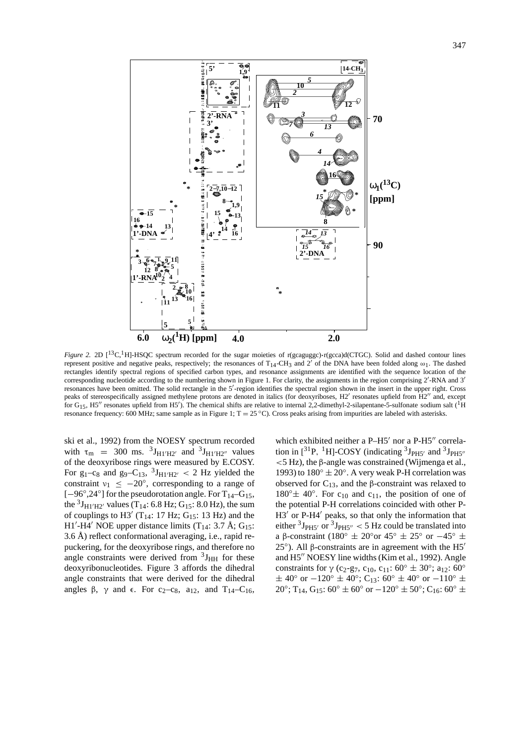

*Figure 2.* 2D [<sup>13</sup>C,<sup>1</sup>H]-HSQC spectrum recorded for the sugar moieties of r(gcaguggc)•r(gcca)d(CTGC). Solid and dashed contour lines represent positive and negative peaks, respectively; the resonances of T<sub>14</sub>-CH<sub>3</sub> and 2<sup>'</sup> of the DNA have been folded along  $\omega_1$ . The dashed rectangles identify spectral regions of specified carbon types, and resonance assignments are identified with the sequence location of the corresponding nucleotide according to the numbering shown in Figure 1. For clarity, the assignments in the region comprising  $2'$ -RNA and  $3'$ resonances have been omitted. The solid rectangle in the 5'-region identifies the spectral region shown in the insert in the upper right. Cross peaks of stereospecifically assigned methylene protons are denoted in italics (for deoxyriboses, H2' resonates upfield from H2" and, except for  $G_{15}$ , H5<sup>t</sup> resonates upfield from H5<sup>'</sup>). The chemical shifts are relative to internal 2,2-dimethyl-2-silapentane-5-sulfonate sodium salt (<sup>1</sup>H) resonance frequency: 600 MHz; same sample as in Figure 1;  $T = 25 \degree C$ ). Cross peaks arising from impurities are labeled with asterisks.

ski et al., 1992) from the NOESY spectrum recorded with  $\tau_{\rm m}$  = 300 ms.  ${}^{3}J_{\rm H1' H2'}$  and  ${}^{3}J_{\rm H1' H2''}$  values of the deoxyribose rings were measured by E.COSY. For  $g_1 - c_8$  and  $g_9 - C_{13}$ ,  ${}^3J_{H1'H2'}$  < 2 Hz yielded the constraint  $v_1 \leq -20^\circ$ , corresponding to a range of [−96°,24°] for the pseudorotation angle. For T<sub>14</sub>-G<sub>15</sub>, the  ${}^{3}J_{\text{H1}'\text{H2}'}$  values (T<sub>14</sub>: 6.8 Hz; G<sub>15</sub>: 8.0 Hz), the sum of couplings to H3' (T<sub>14</sub>: 17 Hz; G<sub>15</sub>: 13 Hz) and the  $H1'$ -H4' NOE upper distance limits (T<sub>14</sub>: 3.7 Å; G<sub>15</sub>: 3.6 Å) reflect conformational averaging, i.e., rapid repuckering, for the deoxyribose rings, and therefore no angle constraints were derived from  $3J_{HH}$  for these deoxyribonucleotides. Figure 3 affords the dihedral angle constraints that were derived for the dihedral angles  $\beta$ ,  $\gamma$  and  $\epsilon$ . For c<sub>2</sub>-c<sub>8</sub>, a<sub>12</sub>, and T<sub>14</sub>-C<sub>16</sub>, which exhibited neither a  $P-H5'$  nor a  $P-H5''$  correlation in  $[^{31}P, {^{1}H}$ ]-COSY (indicating  $^{3}J_{PH5'}$  and  $^{3}J_{PH5''}$ *<*5 Hz), the β-angle was constrained (Wijmenga et al., 1993) to  $180^\circ \pm 20^\circ$ . A very weak P-H correlation was observed for  $C_{13}$ , and the β-constraint was relaxed to  $180^\circ \pm 40^\circ$ . For c<sub>10</sub> and c<sub>11</sub>, the position of one of the potential P-H correlations coincided with other P- $H3'$  or P-H4 $'$  peaks, so that only the information that either  $3J_{PH5}$ <sup>o</sup> or  $3J_{PH5}$ <sup>o</sup> < 5 Hz could be translated into a β-constraint (180°  $\pm$  20° or 45°  $\pm$  25° or -45°  $\pm$ 25<sup>°</sup>). All β-constraints are in agreement with the H5<sup> $'$ </sup> and H5" NOESY line widths (Kim et al., 1992). Angle constraints for  $\gamma$  (c<sub>2</sub>-g<sub>7</sub>, c<sub>10</sub>, c<sub>11</sub>: 60°  $\pm$  30°; a<sub>12</sub>: 60°  $\pm$  40° or  $-120^{\circ} \pm 40^{\circ}$ ; C<sub>13</sub>: 60°  $\pm$  40° or  $-110^{\circ} \pm$ 20°; T<sub>14</sub>, G<sub>15</sub>: 60°  $\pm$  60° or  $-120$ °  $\pm$  50°; C<sub>16</sub>: 60°  $\pm$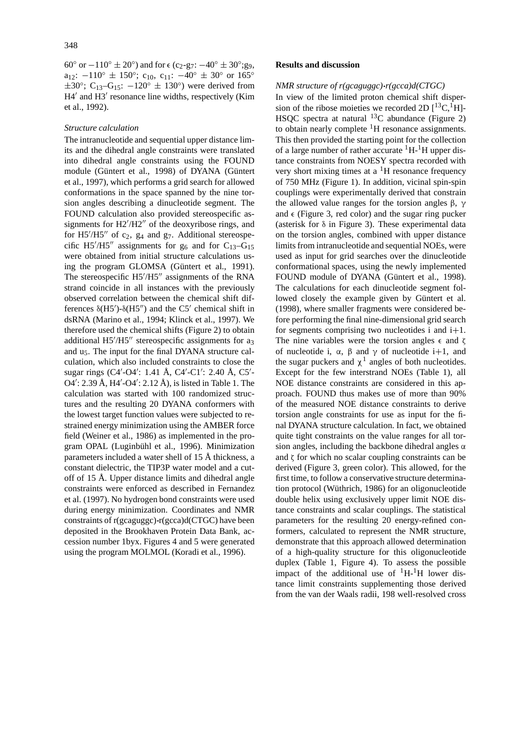60° or  $-110$ °  $\pm 20$ °) and for  $\epsilon$  (c<sub>2</sub>-g<sub>7</sub>:  $-40$ °  $\pm 30$ °;g<sub>9</sub>, a<sub>12</sub>:  $-110^{\circ} \pm 150^{\circ}$ ; c<sub>10</sub>, c<sub>11</sub>:  $-40^{\circ} \pm 30^{\circ}$  or 165<sup>°</sup>  $\pm 30^\circ$ ; C<sub>13</sub>–G<sub>15</sub>:  $-120^\circ \pm 130^\circ$ ) were derived from  $H4'$  and  $H3'$  resonance line widths, respectively (Kim et al., 1992).

#### *Structure calculation*

The intranucleotide and sequential upper distance limits and the dihedral angle constraints were translated into dihedral angle constraints using the FOUND module (Güntert et al., 1998) of DYANA (Güntert et al., 1997), which performs a grid search for allowed conformations in the space spanned by the nine torsion angles describing a dinucleotide segment. The FOUND calculation also provided stereospecific assignments for  $H2' / H2''$  of the deoxyribose rings, and for  $H5'/H5''$  of  $c_2$ ,  $g_4$  and  $g_7$ . Additional stereospecific H5 $^{\prime\prime}$ H5<sup> $^{\prime\prime}$ </sup> assignments for g<sub>6</sub> and for C<sub>13</sub>-G<sub>15</sub> were obtained from initial structure calculations using the program GLOMSA (Güntert et al., 1991). The stereospecific  $H5'/H5''$  assignments of the RNA strand coincide in all instances with the previously observed correlation between the chemical shift differences  $\delta$ (H5')- $\delta$ (H5'') and the C5' chemical shift in dsRNA (Marino et al., 1994; Klinck et al., 1997). We therefore used the chemical shifts (Figure 2) to obtain additional  $H5'/H5''$  stereospecific assignments for  $a_3$ and u5. The input for the final DYANA structure calculation, which also included constraints to close the sugar rings (C4'-O4': 1.41 Å, C4'-C1': 2.40 Å, C5'-O4': 2.39 Å, H4'-O4': 2.12 Å), is listed in Table 1. The calculation was started with 100 randomized structures and the resulting 20 DYANA conformers with the lowest target function values were subjected to restrained energy minimization using the AMBER force field (Weiner et al., 1986) as implemented in the program OPAL (Luginbühl et al., 1996). Minimization parameters included a water shell of 15 Å thickness, a constant dielectric, the TIP3P water model and a cutoff of 15 Å. Upper distance limits and dihedral angle constraints were enforced as described in Fernandez et al. (1997). No hydrogen bond constraints were used during energy minimization. Coordinates and NMR constraints of r(gcaguggc)**·**r(gcca)d(CTGC) have been deposited in the Brookhaven Protein Data Bank, accession number 1byx. Figures 4 and 5 were generated using the program MOLMOL (Koradi et al., 1996).

## **Results and discussion**

#### *NMR structure of r(gcaguggc)***·***r(gcca)d(CTGC)*

In view of the limited proton chemical shift dispersion of the ribose moieties we recorded 2D  $[^{13}C, ^{1}H]$ -HSQC spectra at natural  $^{13}$ C abundance (Figure 2) to obtain nearly complete  ${}^{1}$ H resonance assignments. This then provided the starting point for the collection of a large number of rather accurate  ${}^{1}H-{}^{1}H$  upper distance constraints from NOESY spectra recorded with very short mixing times at a  ${}^{1}$ H resonance frequency of 750 MHz (Figure 1). In addition, vicinal spin-spin couplings were experimentally derived that constrain the allowed value ranges for the torsion angles β,  $γ$ and  $\epsilon$  (Figure 3, red color) and the sugar ring pucker (asterisk for δ in Figure 3). These experimental data on the torsion angles, combined with upper distance limits from intranucleotide and sequential NOEs, were used as input for grid searches over the dinucleotide conformational spaces, using the newly implemented FOUND module of DYANA (Güntert et al., 1998). The calculations for each dinucleotide segment followed closely the example given by Güntert et al. (1998), where smaller fragments were considered before performing the final nine-dimensional grid search for segments comprising two nucleotides i and  $i+1$ . The nine variables were the torsion angles  $\epsilon$  and  $\zeta$ of nucleotide i,  $\alpha$ ,  $\beta$  and  $\gamma$  of nucleotide i+1, and the sugar puckers and  $\chi^1$  angles of both nucleotides. Except for the few interstrand NOEs (Table 1), all NOE distance constraints are considered in this approach. FOUND thus makes use of more than 90% of the measured NOE distance constraints to derive torsion angle constraints for use as input for the final DYANA structure calculation. In fact, we obtained quite tight constraints on the value ranges for all torsion angles, including the backbone dihedral angles  $\alpha$ and  $\zeta$  for which no scalar coupling constraints can be derived (Figure 3, green color). This allowed, for the first time, to follow a conservative structure determination protocol (Wüthrich, 1986) for an oligonucleotide double helix using exclusively upper limit NOE distance constraints and scalar couplings. The statistical parameters for the resulting 20 energy-refined conformers, calculated to represent the NMR structure, demonstrate that this approach allowed determination of a high-quality structure for this oligonucleotide duplex (Table 1, Figure 4). To assess the possible impact of the additional use of  $^1H^{-1}H$  lower distance limit constraints supplementing those derived from the van der Waals radii, 198 well-resolved cross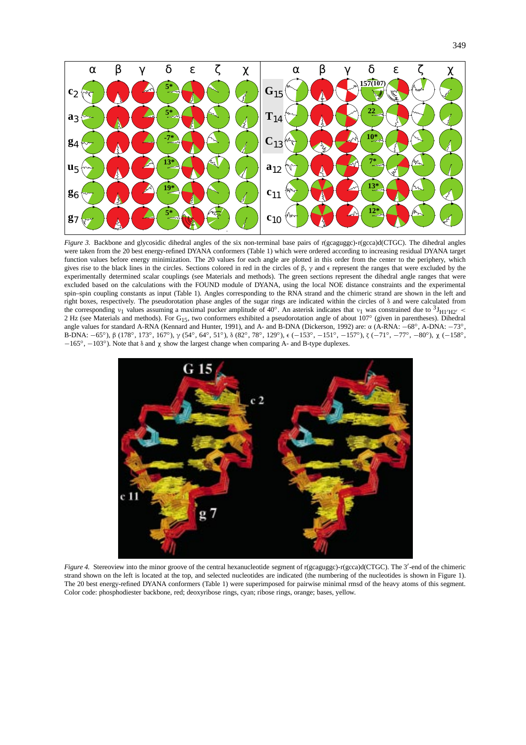

*Figure 3.* Backbone and glycosidic dihedral angles of the six non-terminal base pairs of r(gcaguggc)**·**r(gcca)d(CTGC). The dihedral angles were taken from the 20 best energy-refined DYANA conformers (Table 1) which were ordered according to increasing residual DYANA target function values before energy minimization. The 20 values for each angle are plotted in this order from the center to the periphery, which gives rise to the black lines in the circles. Sections colored in red in the circles of  $\beta$ ,  $\gamma$  and  $\epsilon$  represent the ranges that were excluded by the experimentally determined scalar couplings (see Materials and methods). The green sections represent the dihedral angle ranges that were excluded based on the calculations with the FOUND module of DYANA, using the local NOE distance constraints and the experimental spin–spin coupling constants as input (Table 1). Angles corresponding to the RNA strand and the chimeric strand are shown in the left and right boxes, respectively. The pseudorotation phase angles of the sugar rings are indicated within the circles of δ and were calculated from the corresponding  $v_1$  values assuming a maximal pucker amplitude of 40°. An asterisk indicates that  $v_1$  was constrained due to  $\frac{3J_{\text{H}}}{120}$  < 2 Hz (see Materials and methods). For G15, two conformers exhibited a pseudorotation angle of about 107◦ (given in parentheses). Dihedral angle values for standard A-RNA (Kennard and Hunter, 1991), and A- and B-DNA (Dickerson, 1992) are: α (A-RNA: −68◦, A-DNA: −73◦, B-DNA: −65<sup>°</sup>), β (178°, 173°, 167°), γ (54°, 64°, 51°), δ (82°, 78°, 129°), ε (−153°, −151°, −157°), ζ (−71°, −77°, −80°), χ (−158°, −165◦, −103◦). Note that δ and χ show the largest change when comparing A- and B-type duplexes.



*Figure 4.* Stereoview into the minor groove of the central hexanucleotide segment of r(gcaguggc) r(gcca)d(CTGC). The 3'-end of the chimeric strand shown on the left is located at the top, and selected nucleotides are indicated (the numbering of the nucleotides is shown in Figure 1). The 20 best energy-refined DYANA conformers (Table 1) were superimposed for pairwise minimal rmsd of the heavy atoms of this segment. Color code: phosphodiester backbone, red; deoxyribose rings, cyan; ribose rings, orange; bases, yellow.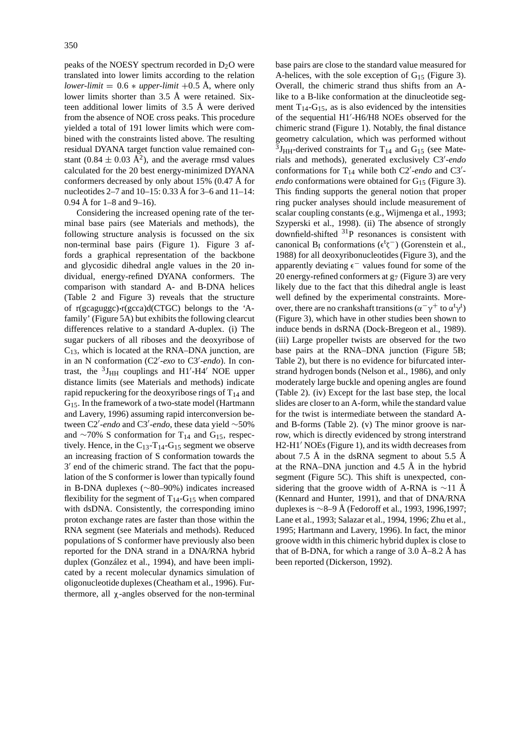peaks of the NOESY spectrum recorded in  $D_2O$  were translated into lower limits according to the relation *lower-limit* =  $0.6 * upper-limit +0.5 \text{ Å}$ , where only lower limits shorter than 3.5 Å were retained. Sixteen additional lower limits of 3.5 Å were derived from the absence of NOE cross peaks. This procedure yielded a total of 191 lower limits which were combined with the constraints listed above. The resulting residual DYANA target function value remained constant  $(0.84 \pm 0.03 \text{ Å}^2)$ , and the average rmsd values calculated for the 20 best energy-minimized DYANA conformers decreased by only about 15% (0.47 Å for nucleotides 2–7 and 10–15: 0.33 Å for 3–6 and  $11-14$ : 0.94 Å for  $1-8$  and  $9-16$ ).

Considering the increased opening rate of the terminal base pairs (see Materials and methods), the following structure analysis is focussed on the six non-terminal base pairs (Figure 1). Figure 3 affords a graphical representation of the backbone and glycosidic dihedral angle values in the 20 individual, energy-refined DYANA conformers. The comparison with standard A- and B-DNA helices (Table 2 and Figure 3) reveals that the structure of r(gcaguggc)**·**r(gcca)d(CTGC) belongs to the 'Afamily' (Figure 5A) but exhibits the following clearcut differences relative to a standard A-duplex. (i) The sugar puckers of all riboses and the deoxyribose of  $C_{13}$ , which is located at the RNA–DNA junction, are in an N conformation (C2'-exo to C3'-endo). In contrast, the  ${}^{3}J_{HH}$  couplings and H1'-H4' NOE upper distance limits (see Materials and methods) indicate rapid repuckering for the deoxyribose rings of  $T_{14}$  and G15. In the framework of a two-state model (Hartmann and Lavery, 1996) assuming rapid interconversion between C2'-*endo* and C3'-*endo*, these data yield ∼50% and ∼70% S conformation for T<sub>14</sub> and G<sub>15</sub>, respectively. Hence, in the  $C_{13}$ -T<sub>14</sub>-G<sub>15</sub> segment we observe an increasing fraction of S conformation towards the  $3'$  end of the chimeric strand. The fact that the population of the S conformer is lower than typically found in B-DNA duplexes (∼80–90%) indicates increased flexibility for the segment of  $T_{14}$ -G<sub>15</sub> when compared with dsDNA. Consistently, the corresponding imino proton exchange rates are faster than those within the RNA segment (see Materials and methods). Reduced populations of S conformer have previously also been reported for the DNA strand in a DNA/RNA hybrid duplex (González et al., 1994), and have been implicated by a recent molecular dynamics simulation of oligonucleotide duplexes (Cheatham et al., 1996). Furthermore, all χ-angles observed for the non-terminal

base pairs are close to the standard value measured for A-helices, with the sole exception of  $G_{15}$  (Figure 3). Overall, the chimeric strand thus shifts from an Alike to a B-like conformation at the dinucleotide segment  $T_{14}$ -G<sub>15</sub>, as is also evidenced by the intensities of the sequential H1'-H6/H8 NOEs observed for the chimeric strand (Figure 1). Notably, the final distance geometry calculation, which was performed without  ${}^{3}$ J<sub>HH</sub>-derived constraints for T<sub>14</sub> and G<sub>15</sub> (see Materials and methods), generated exclusively C3'-endo conformations for  $T_{14}$  while both C2'-endo and C3'*endo* conformations were obtained for G<sub>15</sub> (Figure 3). This finding supports the general notion that proper ring pucker analyses should include measurement of scalar coupling constants (e.g., Wijmenga et al., 1993; Szyperski et al., 1998). (ii) The absence of strongly downfield-shifted  $31P$  resonances is consistent with canonical B<sub>I</sub> conformations ( $\epsilon^t \zeta^-$ ) (Gorenstein et al., 1988) for all deoxyribonucleotides (Figure 3), and the apparently deviating e− values found for some of the 20 energy-refined conformers at  $g_7$  (Figure 3) are very likely due to the fact that this dihedral angle is least well defined by the experimental constraints. Moreover, there are no crankshaft transitions ( $\alpha^{-}\gamma^{+}$  to  $\alpha^{t}\gamma^{t}$ ) (Figure 3), which have in other studies been shown to induce bends in dsRNA (Dock-Bregeon et al., 1989). (iii) Large propeller twists are observed for the two base pairs at the RNA–DNA junction (Figure 5B; Table 2), but there is no evidence for bifurcated interstrand hydrogen bonds (Nelson et al., 1986), and only moderately large buckle and opening angles are found (Table 2). (iv) Except for the last base step, the local slides are closer to an A-form, while the standard value for the twist is intermediate between the standard Aand B-forms (Table 2). (v) The minor groove is narrow, which is directly evidenced by strong interstrand  $H2-H1'$  NOEs (Figure 1), and its width decreases from about 7.5 Å in the dsRNA segment to about 5.5 Å at the RNA–DNA junction and 4.5 Å in the hybrid segment (Figure 5C). This shift is unexpected, considering that the groove width of A-RNA is ∼11 Å (Kennard and Hunter, 1991), and that of DNA/RNA duplexes is ∼8–9 Å (Fedoroff et al., 1993, 1996,1997; Lane et al., 1993; Salazar et al., 1994, 1996; Zhu et al., 1995; Hartmann and Lavery, 1996). In fact, the minor groove width in this chimeric hybrid duplex is close to that of B-DNA, for which a range of  $3.0 \text{ Å}-8.2 \text{ Å}$  has been reported (Dickerson, 1992).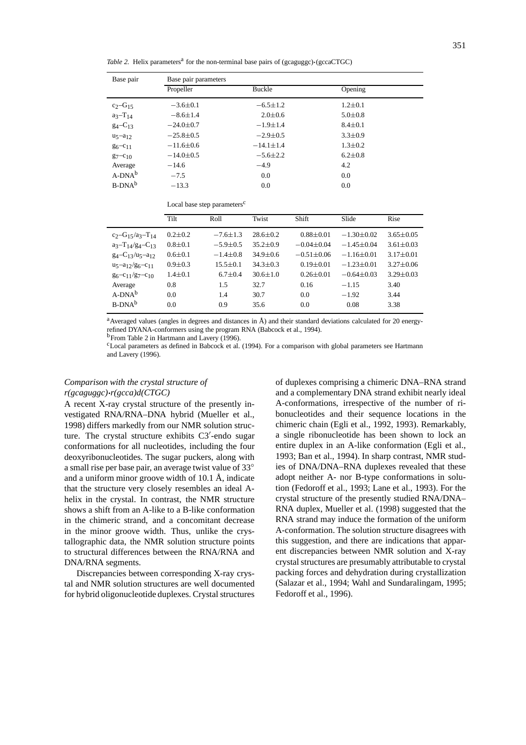*Table 2.* Helix parameters<sup>a</sup> for the non-terminal base pairs of (gcaguggc) $\cdot$ (gccaCTGC)

| Base pair      | Base pair parameters |                 |               |  |  |  |
|----------------|----------------------|-----------------|---------------|--|--|--|
|                | Propeller            | Buckle          | Opening       |  |  |  |
| $c_2-G_{15}$   | $-3.6 \pm 0.1$       | $-6.5 \pm 1.2$  | $1.2 \pm 0.1$ |  |  |  |
| $a_3 - T_{14}$ | $-8.6 \pm 1.4$       | $2.0 \pm 0.6$   | $5.0 \pm 0.8$ |  |  |  |
| $g_4 - C_{13}$ | $-24.0 \pm 0.7$      | $-1.9 \pm 1.4$  | $8.4 \pm 0.1$ |  |  |  |
| $u_5 - a_{12}$ | $-25.8 \pm 0.5$      | $-2.9 \pm 0.5$  | $3.3 \pm 0.9$ |  |  |  |
| $g_6 - c_{11}$ | $-11.6 \pm 0.6$      | $-14.1 \pm 1.4$ | $1.3 \pm 0.2$ |  |  |  |
| $g_7 - c_{10}$ | $-14.0 \pm 0.5$      | $-5.6 \pm 2.2$  | $6.2 \pm 0.8$ |  |  |  |
| Average        | $-14.6$              | $-4.9$          | 4.2           |  |  |  |
| $A-DNA^b$      | $-7.5$               | 0.0             | 0.0           |  |  |  |
| $B-DNA^b$      | $-13.3$              | 0.0             | 0.0           |  |  |  |

| Local base step parameters <sup>c</sup> |
|-----------------------------------------|
|-----------------------------------------|

|                                               | Tilt        | Roll           | Twist          | Shift            | Slide          | Rise            |
|-----------------------------------------------|-------------|----------------|----------------|------------------|----------------|-----------------|
| $c_2-G_15/a_3-T_{14}$                         | $0.2 + 0.2$ | $-7.6 \pm 1.3$ | $28.6 + 0.2$   | $0.88 + 0.01$    | $-1.30 + 0.02$ | $3.65 \pm 0.05$ |
| $a_3 - T_{14}/g_4 - C_{13}$                   | $0.8 + 0.1$ | $-5.9 + 0.5$   | $35.2 + 0.9$   | $-0.04 + 0.04$   | $-1.45 + 0.04$ | $3.61 + 0.03$   |
| $g_4 - C_1$ 3/u <sub>5</sub> -a <sub>12</sub> | $0.6 + 0.1$ | $-1.4 + 0.8$   | $34.9 + 0.6$   | $-0.51 \pm 0.06$ | $-1.16 + 0.01$ | $3.17 + 0.01$   |
| $u_5 - a_{12}/g_6 - c_{11}$                   | $0.9 + 0.3$ | $15.5 \pm 0.1$ | $34.3 \pm 0.3$ | $0.19 + 0.01$    | $-1.23 + 0.01$ | $3.27 + 0.06$   |
| $g_6 - c_{11}/g_7 - c_{10}$                   | $1.4 + 0.1$ | $6.7 + 0.4$    | $30.6 \pm 1.0$ | $0.26 + 0.01$    | $-0.64 + 0.03$ | $3.29 + 0.03$   |
| Average                                       | 0.8         | 1.5            | 32.7           | 0.16             | $-1.15$        | 3.40            |
| $A-DNA^b$                                     | 0.0         | 1.4            | 30.7           | 0.0              | $-1.92$        | 3.44            |
| $B-DNA^b$                                     | 0.0         | 0.9            | 35.6           | 0.0              | 0.08           | 3.38            |

<sup>a</sup>Averaged values (angles in degrees and distances in Å) and their standard deviations calculated for 20 energyrefined DYANA-conformers using the program RNA (Babcock et al., 1994).

<sup>b</sup> From Table 2 in Hartmann and Lavery (1996).

<sup>c</sup>Local parameters as defined in Babcock et al. (1994). For a comparison with global parameters see Hartmann and Lavery (1996).

# *Comparison with the crystal structure of r(gcaguggc)***·***r(gcca)d(CTGC)*

A recent X-ray crystal structure of the presently investigated RNA/RNA–DNA hybrid (Mueller et al., 1998) differs markedly from our NMR solution structure. The crystal structure exhibits C3'-endo sugar conformations for all nucleotides, including the four deoxyribonucleotides. The sugar puckers, along with a small rise per base pair, an average twist value of 33◦ and a uniform minor groove width of 10.1 Å, indicate that the structure very closely resembles an ideal Ahelix in the crystal. In contrast, the NMR structure shows a shift from an A-like to a B-like conformation in the chimeric strand, and a concomitant decrease in the minor groove width. Thus, unlike the crystallographic data, the NMR solution structure points to structural differences between the RNA/RNA and DNA/RNA segments.

Discrepancies between corresponding X-ray crystal and NMR solution structures are well documented for hybrid oligonucleotide duplexes. Crystal structures

of duplexes comprising a chimeric DNA–RNA strand and a complementary DNA strand exhibit nearly ideal A-conformations, irrespective of the number of ribonucleotides and their sequence locations in the chimeric chain (Egli et al., 1992, 1993). Remarkably, a single ribonucleotide has been shown to lock an entire duplex in an A-like conformation (Egli et al., 1993; Ban et al., 1994). In sharp contrast, NMR studies of DNA/DNA–RNA duplexes revealed that these adopt neither A- nor B-type conformations in solution (Fedoroff et al., 1993; Lane et al., 1993). For the crystal structure of the presently studied RNA/DNA– RNA duplex, Mueller et al. (1998) suggested that the RNA strand may induce the formation of the uniform A-conformation. The solution structure disagrees with this suggestion, and there are indications that apparent discrepancies between NMR solution and X-ray crystal structures are presumably attributable to crystal packing forces and dehydration during crystallization (Salazar et al., 1994; Wahl and Sundaralingam, 1995; Fedoroff et al., 1996).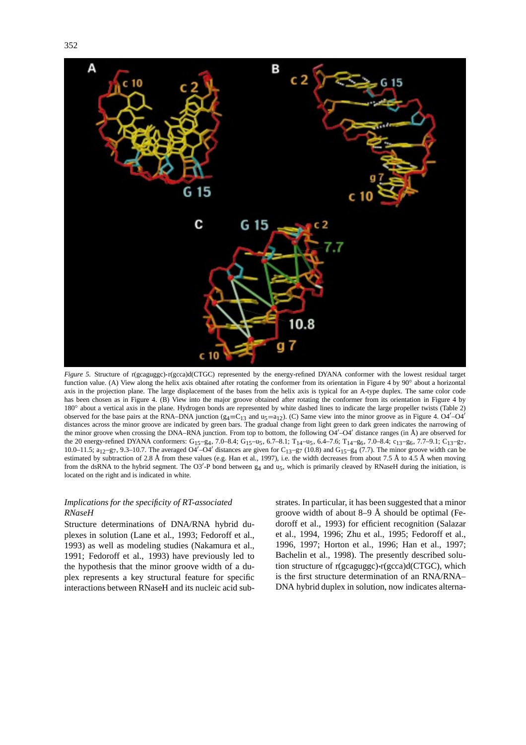

*Figure 5.* Structure of r(gcaguggc)**·**r(gcca)d(CTGC) represented by the energy-refined DYANA conformer with the lowest residual target function value. (A) View along the helix axis obtained after rotating the conformer from its orientation in Figure 4 by 90° about a horizontal axis in the projection plane. The large displacement of the bases from the helix axis is typical for an A-type duplex. The same color code has been chosen as in Figure 4. (B) View into the major groove obtained after rotating the conformer from its orientation in Figure 4 by 180<sup>°</sup> about a vertical axis in the plane. Hydrogen bonds are represented by white dashed lines to indicate the large propeller twists (Table 2) observed for the base pairs at the RNA–DNA junction ( $g_4 = C_{13}$  and  $u_5 = a_{12}$ ). (C) Same view into the minor groove as in Figure 4. O4<sup> $\prime$ </sup>–O4<sup> $\prime$ </sup> distances across the minor groove are indicated by green bars. The gradual change from light green to dark green indicates the narrowing of the minor groove when crossing the DNA–RNA junction. From top to bottom, the following  $O4'–O4'$  distance ranges (in  $\AA$ ) are observed for the 20 energy-refined DYANA conformers: G<sub>15</sub>–g<sub>4</sub>, 7.0–8.4; G<sub>15</sub>–u<sub>5</sub>, 6.7–8.1; T<sub>14</sub>–u<sub>5</sub>, 6.4–7.6; T<sub>14</sub>–g<sub>6</sub>, 7.0–8.4; c<sub>13</sub>–g<sub>6</sub>, 7.7–9.1; C<sub>13</sub>–g<sub>7</sub>, 10.0–11.5;  $a_{12}-g_7$ , 9.3–10.7. The averaged O4'-O4' distances are given for  $C_{13}-g_7$  (10.8) and  $G_{15}-g_4$  (7.7). The minor groove width can be estimated by subtraction of 2.8 Å from these values (e.g. Han et al., 1997), i.e. the width decreases from about 7.5 Å to 4.5 Å when moving from the dsRNA to the hybrid segment. The O3<sup>'</sup>-P bond between  $g_4$  and  $u_5$ , which is primarily cleaved by RNaseH during the initiation, is located on the right and is indicated in white.

# *Implications for the specificity of RT-associated RNaseH*

Structure determinations of DNA/RNA hybrid duplexes in solution (Lane et al., 1993; Fedoroff et al., 1993) as well as modeling studies (Nakamura et al., 1991; Fedoroff et al., 1993) have previously led to the hypothesis that the minor groove width of a duplex represents a key structural feature for specific interactions between RNaseH and its nucleic acid substrates. In particular, it has been suggested that a minor groove width of about 8–9 Å should be optimal (Fedoroff et al., 1993) for efficient recognition (Salazar et al., 1994, 1996; Zhu et al., 1995; Fedoroff et al., 1996, 1997; Horton et al., 1996; Han et al., 1997; Bachelin et al., 1998). The presently described solution structure of r(gcaguggc)**·**r(gcca)d(CTGC), which is the first structure determination of an RNA/RNA– DNA hybrid duplex in solution, now indicates alterna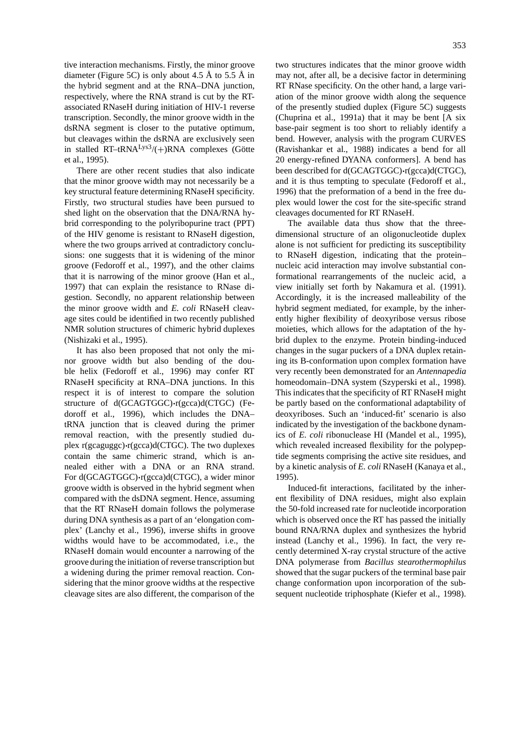tive interaction mechanisms. Firstly, the minor groove diameter (Figure 5C) is only about 4.5 Å to 5.5 Å in the hybrid segment and at the RNA–DNA junction, respectively, where the RNA strand is cut by the RTassociated RNaseH during initiation of HIV-1 reverse transcription. Secondly, the minor groove width in the dsRNA segment is closer to the putative optimum, but cleavages within the dsRNA are exclusively seen in stalled  $RT$ –t $RNA<sup>Lys3</sup>/(+)RNA$  complexes (Götte et al., 1995).

There are other recent studies that also indicate that the minor groove width may not necessarily be a key structural feature determining RNaseH specificity. Firstly, two structural studies have been pursued to shed light on the observation that the DNA/RNA hybrid corresponding to the polyribopurine tract (PPT) of the HIV genome is resistant to RNaseH digestion, where the two groups arrived at contradictory conclusions: one suggests that it is widening of the minor groove (Fedoroff et al., 1997), and the other claims that it is narrowing of the minor groove (Han et al., 1997) that can explain the resistance to RNase digestion. Secondly, no apparent relationship between the minor groove width and *E. coli* RNaseH cleavage sites could be identified in two recently published NMR solution structures of chimeric hybrid duplexes (Nishizaki et al., 1995).

It has also been proposed that not only the minor groove width but also bending of the double helix (Fedoroff et al., 1996) may confer RT RNaseH specificity at RNA–DNA junctions. In this respect it is of interest to compare the solution structure of d(GCAGTGGC)**·**r(gcca)d(CTGC) (Fedoroff et al., 1996), which includes the DNA– tRNA junction that is cleaved during the primer removal reaction, with the presently studied duplex r(gcaguggc)**·**r(gcca)d(CTGC). The two duplexes contain the same chimeric strand, which is annealed either with a DNA or an RNA strand. For d(GCAGTGGC)**·**r(gcca)d(CTGC), a wider minor groove width is observed in the hybrid segment when compared with the dsDNA segment. Hence, assuming that the RT RNaseH domain follows the polymerase during DNA synthesis as a part of an 'elongation complex' (Lanchy et al., 1996), inverse shifts in groove widths would have to be accommodated, i.e., the RNaseH domain would encounter a narrowing of the groove during the initiation of reverse transcription but a widening during the primer removal reaction. Considering that the minor groove widths at the respective cleavage sites are also different, the comparison of the

two structures indicates that the minor groove width may not, after all, be a decisive factor in determining RT RNase specificity. On the other hand, a large variation of the minor groove width along the sequence of the presently studied duplex (Figure 5C) suggests (Chuprina et al., 1991a) that it may be bent [A six base-pair segment is too short to reliably identify a bend. However, analysis with the program CURVES (Ravishankar et al., 1988) indicates a bend for all 20 energy-refined DYANA conformers]. A bend has been described for d(GCAGTGGC)**·**r(gcca)d(CTGC), and it is thus tempting to speculate (Fedoroff et al., 1996) that the preformation of a bend in the free duplex would lower the cost for the site-specific strand cleavages documented for RT RNaseH.

The available data thus show that the threedimensional structure of an oligonucleotide duplex alone is not sufficient for predicting its susceptibility to RNaseH digestion, indicating that the protein– nucleic acid interaction may involve substantial conformational rearrangements of the nucleic acid, a view initially set forth by Nakamura et al. (1991). Accordingly, it is the increased malleability of the hybrid segment mediated, for example, by the inherently higher flexibility of deoxyribose versus ribose moieties, which allows for the adaptation of the hybrid duplex to the enzyme. Protein binding-induced changes in the sugar puckers of a DNA duplex retaining its B-conformation upon complex formation have very recently been demonstrated for an *Antennapedia* homeodomain–DNA system (Szyperski et al., 1998). This indicates that the specificity of RT RNaseH might be partly based on the conformational adaptability of deoxyriboses. Such an 'induced-fit' scenario is also indicated by the investigation of the backbone dynamics of *E. coli* ribonuclease HI (Mandel et al., 1995), which revealed increased flexibility for the polypeptide segments comprising the active site residues, and by a kinetic analysis of *E. coli* RNaseH (Kanaya et al., 1995).

Induced-fit interactions, facilitated by the inherent flexibility of DNA residues, might also explain the 50-fold increased rate for nucleotide incorporation which is observed once the RT has passed the initially bound RNA/RNA duplex and synthesizes the hybrid instead (Lanchy et al., 1996). In fact, the very recently determined X-ray crystal structure of the active DNA polymerase from *Bacillus stearothermophilus* showed that the sugar puckers of the terminal base pair change conformation upon incorporation of the subsequent nucleotide triphosphate (Kiefer et al., 1998).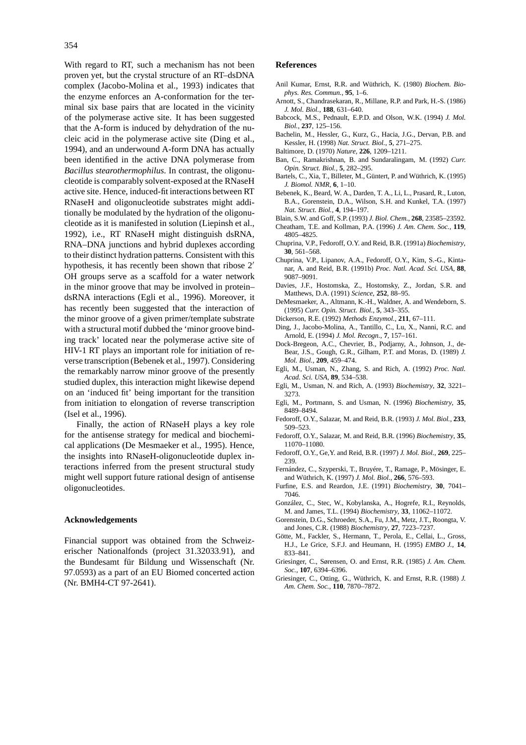With regard to RT, such a mechanism has not been proven yet, but the crystal structure of an RT–dsDNA complex (Jacobo-Molina et al., 1993) indicates that the enzyme enforces an A-conformation for the terminal six base pairs that are located in the vicinity of the polymerase active site. It has been suggested that the A-form is induced by dehydration of the nucleic acid in the polymerase active site (Ding et al., 1994), and an underwound A-form DNA has actually been identified in the active DNA polymerase from *Bacillus stearothermophilus*. In contrast, the oligonucleotide is comparably solvent-exposed at the RNaseH active site. Hence, induced-fit interactions between RT RNaseH and oligonucleotide substrates might additionally be modulated by the hydration of the oligonucleotide as it is manifested in solution (Liepinsh et al., 1992), i.e., RT RNaseH might distinguish dsRNA, RNA–DNA junctions and hybrid duplexes according to their distinct hydration patterns. Consistent with this hypothesis, it has recently been shown that ribose  $2<sup>′</sup>$ OH groups serve as a scaffold for a water network in the minor groove that may be involved in protein– dsRNA interactions (Egli et al., 1996). Moreover, it has recently been suggested that the interaction of the minor groove of a given primer/template substrate with a structural motif dubbed the 'minor groove binding track' located near the polymerase active site of HIV-1 RT plays an important role for initiation of reverse transcription (Bebenek et al., 1997). Considering the remarkably narrow minor groove of the presently studied duplex, this interaction might likewise depend on an 'induced fit' being important for the transition from initiation to elongation of reverse transcription (Isel et al., 1996).

Finally, the action of RNaseH plays a key role for the antisense strategy for medical and biochemical applications (De Mesmaeker et al., 1995). Hence, the insights into RNaseH-oligonucleotide duplex interactions inferred from the present structural study might well support future rational design of antisense oligonucleotides.

#### **Acknowledgements**

Financial support was obtained from the Schweizerischer Nationalfonds (project 31.32033.91), and the Bundesamt für Bildung und Wissenschaft (Nr. 97.0593) as a part of an EU Biomed concerted action (Nr. BMH4-CT 97-2641).

### **References**

- Anil Kumar, Ernst, R.R. and Wüthrich, K. (1980) *Biochem. Biophys. Res. Commun.*, **95**, 1–6.
- Arnott, S., Chandrasekaran, R., Millane, R.P. and Park, H.-S. (1986) *J. Mol. Biol.*, **188**, 631–640.
- Babcock, M.S., Pednault, E.P.D. and Olson, W.K. (1994) *J. Mol. Biol.*, **237**, 125–156.
- Bachelin, M., Hessler, G., Kurz, G., Hacia, J.G., Dervan, P.B. and Kessler, H. (1998) *Nat. Struct. Biol.*, **5**, 271–275.
- Baltimore, D. (1970) *Nature*, **226**, 1209–1211.
- Ban, C., Ramakrishnan, B. and Sundaralingam, M. (1992) *Curr. Opin. Struct. Biol.*, **5**, 282–295.
- Bartels, C., Xia, T., Billeter, M., Güntert, P. and Wüthrich, K. (1995) *J. Biomol. NMR*, **6**, 1–10.
- Bebenek, K., Beard, W. A., Darden, T. A., Li, L., Prasard, R., Luton, B.A., Gorenstein, D.A., Wilson, S.H. and Kunkel, T.A. (1997) *Nat. Struct. Biol.*, **4**, 194–197.
- Blain, S.W. and Goff, S.P. (1993) *J. Biol. Chem.*, **268**, 23585–23592.
- Cheatham, T.E. and Kollman, P.A. (1996) *J. Am. Chem. Soc.*, **119**, 4805–4825.
- Chuprina, V.P., Fedoroff, O.Y. and Reid, B.R. (1991a) *Biochemistry*, **30**, 561–568.
- Chuprina, V.P., Lipanov, A.A., Fedoroff, O.Y., Kim, S.-G., Kintanar, A. and Reid, B.R. (1991b) *Proc. Natl. Acad. Sci. USA*, **88**, 9087–9091.
- Davies, J.F., Hostomska, Z., Hostomsky, Z., Jordan, S.R. and Matthews, D.A. (1991) *Science*, **252**, 88–95.
- DeMesmaeker, A., Altmann, K.-H., Waldner, A. and Wendeborn, S. (1995) *Curr. Opin. Struct. Biol.*, **5**, 343–355.
- Dickerson, R.E. (1992) *Methods Enzymol.*, **211**, 67–111.
- Ding, J., Jacobo-Molina, A., Tantillo, C., Lu, X., Nanni, R.C. and Arnold, E. (1994) *J. Mol. Recogn.*, **7**, 157–161.
- Dock-Bregeon, A.C., Chevrier, B., Podjarny, A., Johnson, J., de-Bear, J.S., Gough, G.R., Gilham, P.T. and Moras, D. (1989) *J. Mol. Biol.*, **209**, 459–474.
- Egli, M., Usman, N., Zhang, S. and Rich, A. (1992) *Proc. Natl. Acad. Sci. USA*, **89**, 534–538.
- Egli, M., Usman, N. and Rich, A. (1993) *Biochemistry*, **32**, 3221– 3273.
- Egli, M., Portmann, S. and Usman, N. (1996) *Biochemistry*, **35**, 8489–8494.
- Fedoroff, O.Y., Salazar, M. and Reid, B.R. (1993) *J. Mol. Biol.*, **233**, 509–523.
- Fedoroff, O.Y., Salazar, M. and Reid, B.R. (1996) *Biochemistry*, **35**, 11070–11080.
- Fedoroff, O.Y., Ge,Y. and Reid, B.R. (1997) *J. Mol. Biol.*, **269**, 225– 239.
- Fernández, C., Szyperski, T., Bruyére, T., Ramage, P., Mösinger, E. and Wüthrich, K. (1997) *J. Mol. Biol.*, **266**, 576–593.
- Furfine, E.S. and Reardon, J.E. (1991) *Biochemistry*, **30**, 7041– 7046.
- González, C., Stec, W., Kobylanska, A., Hogrefe, R.I., Reynolds, M. and James, T.L. (1994) *Biochemistry*, **33**, 11062–11072.
- Gorenstein, D.G., Schroeder, S.A., Fu, J.M., Metz, J.T., Roongta, V. and Jones, C.R. (1988) *Biochemistry*, **27**, 7223–7237.
- Götte, M., Fackler, S., Hermann, T., Perola, E., Cellai, L., Gross, H.J., Le Grice, S.F.J. and Heumann, H. (1995) *EMBO J.*, **14**, 833–841.
- Griesinger, C., Sørensen, O. and Ernst, R.R. (1985) *J. Am. Chem. Soc.*, **107**, 6394–6396.
- Griesinger, C., Otting, G., Wüthrich, K. and Ernst, R.R. (1988) *J. Am. Chem. Soc.*, **110**, 7870–7872.